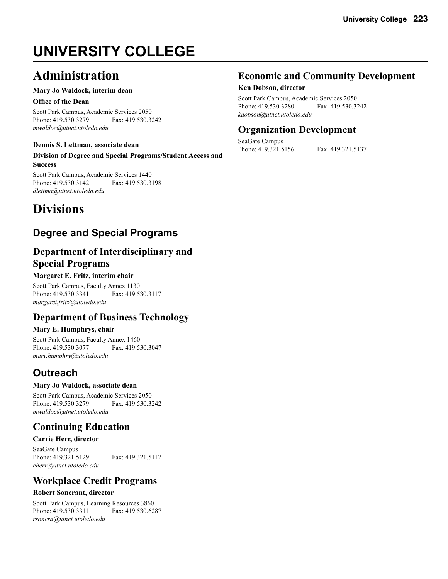# **UNIVERSITY COLLEGE**

# **Administration**

#### **Mary Jo Waldock, interim dean**

#### **Office of the Dean**

Scott Park Campus, Academic Services 2050 Phone: 419.530.3279 Fax: 419.530.3242 *mwaldoc@utnet.utoledo.edu*

#### **Dennis S. Lettman, associate dean**

**Division of Degree and Special Programs/Student Access and Success**

Scott Park Campus, Academic Services 1440 Phone: 419.530.3142 Fax: 419.530.3198 *dlettma@utnet.utoledo.edu*

# **Divisions**

# **Degree and Special Programs**

## **Department of Interdisciplinary and Special Programs**

#### **Margaret E. Fritz, interim chair**

Scott Park Campus, Faculty Annex 1130 Phone: 419.530.3341 Fax: 419.530.3117 *margaret.fritz@utoledo.edu*

### **Department of Business Technology**

#### **Mary E. Humphrys, chair**

Scott Park Campus, Faculty Annex 1460 Phone: 419.530.3077 Fax: 419.530.3047 *mary.humphry@utoledo.edu*

# **Outreach**

#### **Mary Jo Waldock, associate dean**

Scott Park Campus, Academic Services 2050 Phone: 419.530.3279 Fax: 419.530.3242 *mwaldoc@utnet.utoledo.edu*

## **Continuing Education**

#### **Carrie Herr, director**

SeaGate Campus Phone: 419.321.5129 Fax: 419.321.5112 *cherr@utnet.utoledo.edu*

### **Workplace Credit Programs**

#### **Robert Soncrant, director**

Scott Park Campus, Learning Resources 3860 Phone: 419.530.3311 Fax: 419.530.6287 *rsoncra@utnet.utoledo.edu*

### **Economic and Community Development**

#### **Ken Dobson, director**

Scott Park Campus, Academic Services 2050 Phone: 419.530.3280 Fax: 419.530.3242 *kdobson@utnet.utoledo.edu*

## **Organization Development**

SeaGate Campus Phone: 419.321.5156 Fax: 419.321.5137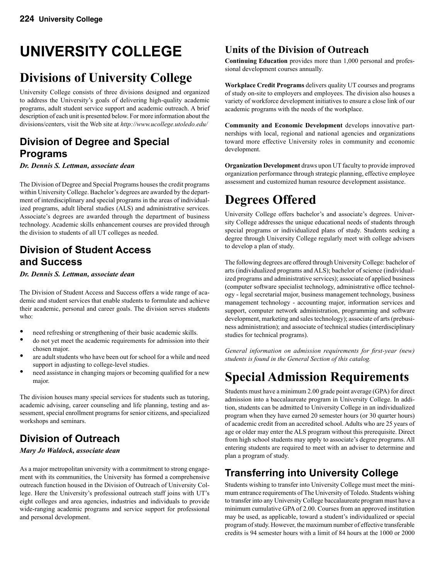# **UNIVERSITY COLLEGE**

# **Divisions of University College**

University College consists of three divisions designed and organized to address the University's goals of delivering high-quality academic programs, adult student service support and academic outreach. A brief description of each unit is presented below. For more information about the divisions/centers, visit the Web site at *http://www.ucollege.utoledo.edu/*

# **Division of Degree and Special Programs**

*Dr. Dennis S. Lettman, associate dean*

The Division of Degree and Special Programs houses the credit programs within University College. Bachelor's degrees are awarded by the department of interdisciplinary and special programs in the areas of individualized programs, adult liberal studies (ALS) and administrative services. Associate's degrees are awarded through the department of business technology. Academic skills enhancement courses are provided through the division to students of all UT colleges as needed.

### **Division of Student Access and Success**

*Dr. Dennis S. Lettman, associate dean*

The Division of Student Access and Success offers a wide range of academic and student services that enable students to formulate and achieve their academic, personal and career goals. The division serves students who:

- need refreshing or strengthening of their basic academic skills.<br>• do not yet meet the academic requirements for admission into the
- do not yet meet the academic requirements for admission into their chosen major.
- are adult students who have been out for school for a while and need support in adjusting to college-level studies.
- need assistance in changing majors or becoming qualified for a new major.

The division houses many special services for students such as tutoring, academic advising, career counseling and life planning, testing and assessment, special enrollment programs for senior citizens, and specialized workshops and seminars.

# **Division of Outreach**

#### *Mary Jo Waldock, associate dean*

As a major metropolitan university with a commitment to strong engagement with its communities, the University has formed a comprehensive outreach function housed in the Division of Outreach of University College. Here the University's professional outreach staff joins with UT's eight colleges and area agencies, industries and individuals to provide wide-ranging academic programs and service support for professional and personal development.

## **Units of the Division of Outreach**

**Continuing Education** provides more than 1,000 personal and professional development courses annually.

**Workplace Credit Programs** delivers quality UT courses and programs of study on-site to employers and employees. The division also houses a variety of workforce development initiatives to ensure a close link of our academic programs with the needs of the workplace.

**Community and Economic Development** develops innovative partnerships with local, regional and national agencies and organizations toward more effective University roles in community and economic development.

**Organization Development** draws upon UT faculty to provide improved organization performance through strategic planning, effective employee assessment and customized human resource development assistance.

# **Degrees Offered**

University College offers bachelor's and associate's degrees. University College addresses the unique educational needs of students through special programs or individualized plans of study. Students seeking a degree through University College regularly meet with college advisers to develop a plan of study.

The following degrees are offered through University College: bachelor of arts (individualized programs and ALS); bachelor of science (individualized programs and administrative services); associate of applied business (computer software specialist technology, administrative office technology - legal secretarial major, business management technology, business management technology - accounting major, information services and support, computer network administration, programming and software development, marketing and sales technology); associate of arts (prebusiness administration); and associate of technical studies (interdisciplinary studies for technical programs).

*General information on admission requirements for first-year (new) students is found in the General Section of this catalog.* 

# **Special Admission Requirements**

Students must have a minimum 2.00 grade point average (GPA) for direct admission into a baccalaureate program in University College. In addition, students can be admitted to University College in an individualized program when they have earned 20 semester hours (or 30 quarter hours) of academic credit from an accredited school. Adults who are 25 years of age or older may enter the ALS program without this prerequisite. Direct from high school students may apply to associate's degree programs. All entering students are required to meet with an adviser to determine and plan a program of study.

# **Transferring into University College**

Students wishing to transfer into University College must meet the minimum entrance requirements of The University of Toledo. Students wishing to transfer into any University College baccalaureate program must have a minimum cumulative GPA of 2.00. Courses from an approved institution may be used, as applicable, toward a student's individualized or special program of study. However, the maximum number of effective transferable credits is 94 semester hours with a limit of 84 hours at the 1000 or 2000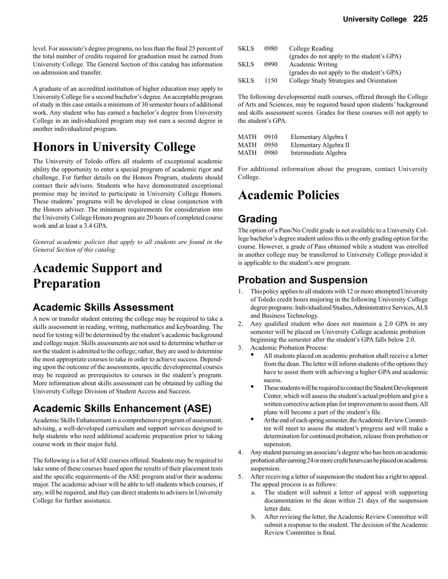level. For associate's degree programs, no less than the final 25 percent of the total number of credits required for graduation must be earned from University College. The General Section of this catalog has information on admission and transfer.

A graduate of an accredited institution of higher education may apply to University College for a second bachelor's degree. An acceptable program of study in this case entails a minimum of 30 semester hours of additional work. Any student who has earned a bachelor's degree from University College in an individualized program may not earn a second degree in another individualized program.

# **Honors in University College**

The University of Toledo offers all students of exceptional academic ability the opportunity to enter a special program of academic rigor and challenge. For further details on the Honors Program, students should contact their advisers. Students who have demonstrated exceptional promise may be invited to participate in University College Honors. These students' programs will be developed in close conjunction with the Honors adviser. The minimum requirements for consideration into the University College Honors program are 20 hours of completed course work and at least a 3.4 GPA.

*General academic policies that apply to all students are found in the General Section of this catalog.* 

# **Academic Support and Preparation**

## **Academic Skills Assessment**

A new or transfer student entering the college may be required to take a skills assessment in reading, writing, mathematics and keyboarding. The need for testing will be determined by the student's academic background and college major. Skills assessments are not used to determine whether or not the student is admitted to the college; rather, they are used to determine the most appropriate courses to take in order to achieve success. Depending upon the outcome of the assessments, specific developmental courses may be required as prerequisites to courses in the student's program. More information about skills assessment can be obtained by calling the University College Division of Student Access and Success.

# **Academic Skills Enhancement (ASE)**

Academic Skills Enhancement is a comprehensive program of assessment, advising, a well-developed curriculum and support services designed to help students who need additional academic preparation prior to taking course work in their major field.

The following is a list of ASE courses offered. Students may be required to take some of these courses based upon the results of their placement tests and the specific requirements of the ASE program and/or their academic major. The academic adviser will be able to tell students which courses, if any, will be required, and they can direct students to advisers in University College for further assistance.

| <b>SKLS</b> | 0980 | College Reading                            |
|-------------|------|--------------------------------------------|
|             |      | (grades do not apply to the student's GPA) |
| <b>SKLS</b> | 0990 | Academic Writing                           |
|             |      | (grades do not apply to the student's GPA) |
| <b>SKLS</b> | 1150 | College Study Strategies and Orientation   |

The following developmental math courses, offered through the College of Arts and Sciences, may be required based upon students' background and skills assessment scores. Grades for these courses will not apply to the student's GPA.

**University College 225**

| MATH | 0910 | Elementary Algebra I  |
|------|------|-----------------------|
| MATH | 0950 | Elementary Algebra II |
| MATH | 0980 | Intermediate Algebra  |

For additional information about the program, contact University College.

# **Academic Policies**

## **Grading**

The option of a Pass/No Credit grade is not available to a University College bachelor's degree student unless this is the only grading option for the course. However, a grade of Pass obtained while a student was enrolled in another college may be transferred to University College provided it is applicable to the student's new program.

## **Probation and Suspension**

- 1. This policy applies to all students with 12 or more attempted University of Toledo credit hours majoring in the following University College degree programs: Individualized Studies, Administrative Services, ALS and Business Technology.
- 2. Any qualified student who does not maintain a 2.0 GPA in any semester will be placed on University College academic probation beginning the semester after the student's GPA falls below 2.0.
- 3. Academic Probation Process:
	- All students placed on academic probation shall receive a letter from the dean. The letter will inform students of the options they have to assist them with achieving a higher GPA and academic sucess.
	- These students will be required to contact the Student Development Center, which will assess the student's actual problem and give a written corrective action plan for improvement to assist them. All plans will become a part of the student's file.
	- At the end of each spring semester, the Academic Review Commit tee will meet to assess the student's progress and will make a determination for continued probation, release from probation or supension.
- 4. Any student pursuing an associate's degree who has been on academic probation after earning 24 or more credit hours can be placed on academic suspension.
- 5. After receiving a letter of suspension the student has a right to appeal. The appeal process is as follows:
	- a. The student will submit a letter of appeal with supporting documentation to the dean within 21 days of the suspension letter date.
	- b. After revieing the letter, the Academic Review Committee will submit a response to the student. The decision of the Academic Review Committee is final.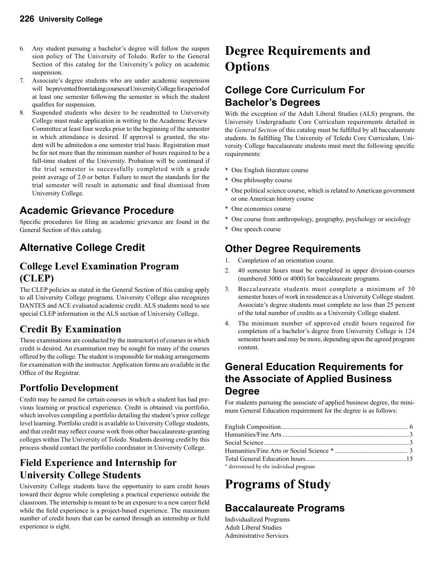- 6. Any student pursuing a bachelor's degree will follow the suspen sion policy of The University of Toledo. Refer to the General Section of this catalog for the University's policy on academic suspension.
- 7. Associate's degree students who are under academic suspension will be prevented from taking courses at University College for a period of at least one semester following the semester in which the student qualifies for suspension.
- 8. Suspended students who desire to be readmitted to University College must make application in writing to the Academic Review Committee at least four weeks prior to the beginning of the semester in which attendance is desired. If approval is granted, the stu dent will be admitedon a one semester trial basis. Registration must be for not more than the minimum number of hours required to be a full-time student of the University. Probation will be continued if the trial semester is successfully completed with a grade point average of 2.0 or better. Failure to meet the standards for the trial semester will result in automatic and final dismissal from University College.

# **Academic Grievance Procedure**

Specific procedures for filing an academic grievance are found in the General Section of this catalog.

# **Alternative College Credit**

## **College Level Examination Program (CLEP)**

The CLEP policies as stated in the General Section of this catalog apply to all University College programs. University College also recognizes DANTES and ACE evaluated academic credit. ALS students need to see special CLEP information in the ALS section of University College.

## **Credit By Examination**

These examinations are conducted by the instructor(s) of courses in which credit is desired. An examination may be sought for many of the courses offered by the college. The student is responsible for making arrangements for examination with the instructor. Application forms are available in the Office of the Registrar.

### **Portfolio Development**

Credit may be earned for certain courses in which a student has had previous learning or practical experience. Credit is obtained via portfolio, which involves compiling a portfolio detailing the student's prior college level learning. Portfolio credit is available to University College students, and that credit may reflect course work from other baccalaureate-granting colleges within The University of Toledo. Students desiring credit by this process should contact the portfolio coordinator in University College.

### **Field Experience and Internship for University College Students**

University College students have the opportunity to earn credit hours toward their degree while completing a practical experience outside the classroom. The internship is meant to be an exposure to a new career field while the field experience is a project-based experience. The maximum number of credit hours that can be earned through an internship or field experience is eight.

# **Degree Requirements and Options**

## **College Core Curriculum For Bachelor's Degrees**

With the exception of the Adult Liberal Studies (ALS) program, the University Undergraduate Core Curriculum requirements detailed in the *General Section* of this catalog must be fulfilled by all baccalaureate students. In fulfilling The University of Toledo Core Curriculum, University College baccalaureate students must meet the following specific requirements:

- \* One English literature course
- \* One philosophy course
- \* One political science course, which is related to American government or one American history course
- \* One economics course
- \* One course from anthropology, geography, psychology or sociology
- \* One speech course

# **Other Degree Requirements**

- 1. Completion of an orientation course.
- 2. 40 semester hours must be completed in upper division-courses (numbered 3000 or 4000) for baccalaureate programs.
- 3. Baccalaureate students must complete a minimum of 30 semester hours of work in residence as a University College student. Associate's degree students must complete no less than 25 percent of the total number of credits as a University College student.
- 4. The minimum number of approved credit hours required for completion of a bachelor's degree from University College is 124 semester hours and may be more, depending upon the agreed program content.

## **General Education Requirements for the Associate of Applied Business Degree**

For students pursuing the associate of applied business degree, the minimum General Education requirement for the degree is as follows:

| * determined by the individual program |  |
|----------------------------------------|--|

# **Programs of Study**

# **Baccalaureate Programs**

Individualized Programs Adult Liberal Studies Administrative Services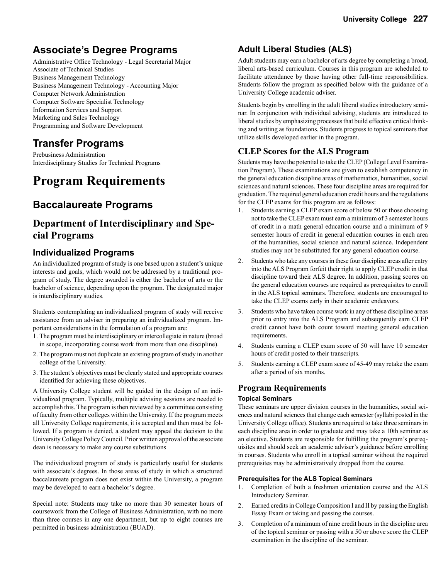## **Associate's Degree Programs**

Administrative Office Technology - Legal Secretarial Major Associate of Technical Studies Business Management Technology Business Management Technology - Accounting Major Computer Network Administration Computer Software Specialist Technology Information Services and Support Marketing and Sales Technology Programming and Software Development

## **Transfer Programs**

Prebusiness Administration Interdisciplinary Studies for Technical Programs

# **Program Requirements**

## **Baccalaureate Programs**

### **Department of Interdisciplinary and Special Programs**

### **Individualized Programs**

An individualized program of study is one based upon a student's unique interests and goals, which would not be addressed by a traditional program of study. The degree awarded is either the bachelor of arts or the bachelor of science, depending upon the program. The designated major is interdisciplinary studies.

Students contemplating an individualized program of study will receive assistance from an adviser in preparing an individualized program. Important considerations in the formulation of a program are:

- 1. The program must be interdisciplinary or intercollegiate in nature (broad in scope, incorporating course work from more than one discipline).
- 2. The program must not duplicate an existing program of study in another college of the University.
- 3. The student's objectives must be clearly stated and appropriate courses identified for achieving these objectives.

A University College student will be guided in the design of an individualized program. Typically, multiple advising sessions are needed to accomplish this. The program is then reviewed by a committee consisting of faculty from other colleges within the University. If the program meets all University College requirements, it is accepted and then must be followed. If a program is denied, a student may appeal the decision to the University College Policy Council. Prior written approval of the associate dean is necessary to make any course substitutions

The individualized program of study is particularly useful for students with associate's degrees. In those areas of study in which a structured baccalaureate program does not exist within the University, a program may be developed to earn a bachelor's degree.

Special note: Students may take no more than 30 semester hours of coursework from the College of Business Administration, with no more than three courses in any one department, but up to eight courses are permitted in business administration (BUAD).

### **Adult Liberal Studies (ALS)**

Adult students may earn a bachelor of arts degree by completing a broad, liberal arts-based curriculum. Courses in this program are scheduled to facilitate attendance by those having other full-time responsibilities. Students follow the program as specified below with the guidance of a University College academic adviser.

Students begin by enrolling in the adult liberal studies introductory seminar. In conjunction with individual advising, students are introduced to liberal studies by emphasizing processes that build effective critical thinking and writing as foundations. Students progress to topical seminars that utilize skills developed earlier in the program.

### **CLEP Scores for the ALS Program**

Students may have the potential to take the CLEP (College Level Examination Program). These examinations are given to establish competency in the general education discipline areas of mathematics, humanities, social sciences and natural sciences. These four discipline areas are required for graduation. The required general education credit hours and the regulations for the CLEP exams for this program are as follows:

- 1. Students earning a CLEP exam score of below 50 or those choosing not to take the CLEP exam must earn a minimum of 3 semester hours of credit in a math general education course and a minimum of 9 semester hours of credit in general education courses in each area of the humanities, social science and natural science. Independent studies may not be substituted for any general education course.
- 2. Students who take any courses in these four discipline areas after entry into the ALS Program forfeit their right to apply CLEP credit in that discipline toward their ALS degree. In addition, passing scores on the general education courses are required as prerequisites to enroll in the ALS topical seminars. Therefore, students are encouraged to take the CLEP exams early in their academic endeavors.
- 3. Students who have taken course work in any of these discipline areas prior to entry into the ALS Program and subsequently earn CLEP credit cannot have both count toward meeting general education requirements.
- Students earning a CLEP exam score of 50 will have 10 semester hours of credit posted to their transcripts.
- 5. Students earning a CLEP exam score of 45-49 may retake the exam after a period of six months.

#### **Program Requirements**

#### **Topical Seminars**

These seminars are upper division courses in the humanities, social sciences and natural sciences that change each semester (syllabi posted in the University College office). Students are required to take three seminars in each discipline area in order to graduate and may take a 10th seminar as an elective. Students are responsible for fulfilling the program's prerequisites and should seek an academic adviser's guidance before enrolling in courses. Students who enroll in a topical seminar without the required prerequisites may be administratively dropped from the course.

#### **Prerequisites for the ALS Topical Seminars**

- 1. Completion of both a freshman orientation course and the ALS Introductory Seminar.
- 2. Earned credits in College Composition I and II by passing the English Essay Exam or taking and passing the courses.
- 3. Completion of a minimum of nine credit hours in the discipline area of the topical seminar or passing with a 50 or above score the CLEP examination in the discipline of the seminar.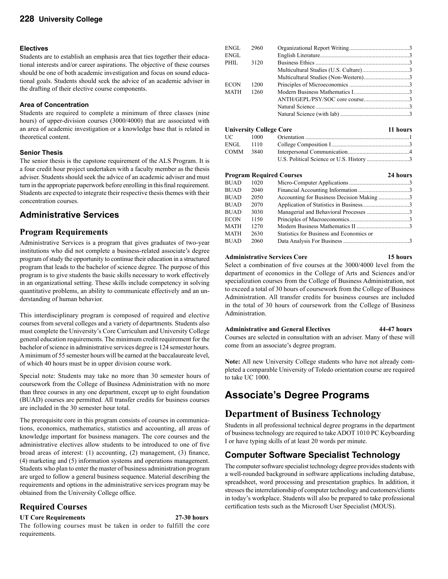#### **Electives**

Students are to establish an emphasis area that ties together their educational interests and/or career aspirations. The objective of these courses should be one of both academic investigation and focus on sound educational goals. Students should seek the advice of an academic adviser in the drafting of their elective course components.

#### **Area of Concentration**

Students are required to complete a minimum of three classes (nine hours) of upper-division courses (3000/4000) that are associated with an area of academic investigation or a knowledge base that is related in theoretical content.

#### **Senior Thesis**

The senior thesis is the capstone requirement of the ALS Program. It is a four credit hour project undertaken with a faculty member as the thesis adviser. Students should seek the advice of an academic adviser and must turn in the appropriate paperwork before enrolling in this final requirement. Students are expected to integrate their respective thesis themes with their concentration courses.

### **Administrative Services**

#### **Program Requirements**

Administrative Services is a program that gives graduates of two-year institutions who did not complete a business-related associate's degree program of study the opportunity to continue their education in a structured program that leads to the bachelor of science degree. The purpose of this program is to give students the basic skills necessary to work effectively in an organizational setting. These skills include competency in solving quantitative problems, an ability to communicate effectively and an understanding of human behavior.

This interdisciplinary program is composed of required and elective courses from several colleges and a variety of departments. Students also must complete the University's Core Curriculum and University College general education requirements. The minimum credit requirement for the bachelor of science in administrative services degree is 124 semester hours. A minimum of 55 semester hours will be earned at the baccalaureate level, of which 40 hours must be in upper division course work.

Special note: Students may take no more than 30 semester hours of coursework from the College of Business Administration with no more than three courses in any one department, except up to eight foundation (BUAD) courses are permitted. All transfer credits for business courses are included in the 30 semester hour total.

The prerequisite core in this program consists of courses in communications, economics, mathematics, statistics and accounting, all areas of knowledge important for business managers. The core courses and the administrative electives allow students to be introduced to one of five broad areas of interest: (1) accounting, (2) management, (3) finance, (4) marketing and (5) information systems and operations management. Students who plan to enter the master of business administration program are urged to follow a general business sequence. Material describing the requirements and options in the administrative services program may be obtained from the University College office.

#### **Required Courses**

#### **UT Core Requirements 27-30 hours**

The following courses must be taken in order to fulfill the core requirements.

| ENGL  | 2960 |  |
|-------|------|--|
| ENGL  |      |  |
| PHIL. | 3120 |  |
|       |      |  |
|       |      |  |
| ECON  | 1200 |  |
| MATH  | 1260 |  |
|       |      |  |
|       |      |  |
|       |      |  |
|       |      |  |
|       |      |  |

|           | <b>University College Core</b> |  |  |  |  |
|-----------|--------------------------------|--|--|--|--|
| UС —      |                                |  |  |  |  |
| ENGL      | 1110                           |  |  |  |  |
| COMM 3840 |                                |  |  |  |  |
|           |                                |  |  |  |  |

|             |      | <b>Program Required Courses</b>           | 24 hours |
|-------------|------|-------------------------------------------|----------|
| BUAD        | 1020 |                                           |          |
| BUAD        | 2040 |                                           |          |
| BUAD        | 2050 | Accounting for Business Decision Making 3 |          |
| BUAD        | 2070 |                                           |          |
| <b>BUAD</b> | 3030 |                                           |          |
| ECON        | 1150 |                                           |          |
| MATH        | 1270 |                                           |          |
| MATH        | 2630 | Statistics for Business and Economics or  |          |
| <b>BUAD</b> | 2060 |                                           |          |
|             |      |                                           |          |

#### **Administrative Services Core 15 hours**

Select a combination of five courses at the 3000/4000 level from the department of economics in the College of Arts and Sciences and/or specialization courses from the College of Business Administration, not to exceed a total of 30 hours of coursework from the College of Business Administration. All transfer credits for business courses are included in the total of 30 hours of coursework from the College of Business Administration.

#### **Administrative and General Electives 44-47 hours**

Courses are selected in consultation with an adviser. Many of these will come from an associate's degree program.

**Note:** All new University College students who have not already completed a comparable University of Toledo orientation course are required to take UC 1000.

# **Associate's Degree Programs**

### **Department of Business Technology**

Students in all professional technical degree programs in the department of business technology are required to take ADOT 1010 PC Keyboarding I or have typing skills of at least 20 words per minute.

### **Computer Software Specialist Technology**

The computer software specialist technology degree provides students with a well-rounded background in software applications including database, spreadsheet, word processing and presentation graphics. In addition, it stresses the interrelationship of computer technology and customers/clients in today's workplace. Students will also be prepared to take professional certification tests such as the Microsoft User Specialist (MOUS).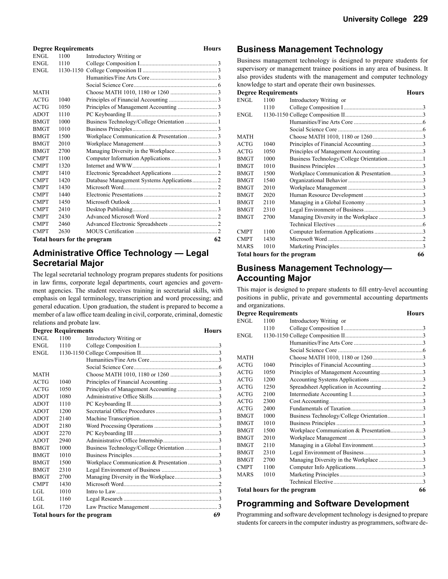#### **Degree Requirements** Hours ENGL 1100 Introductory Writing or ENGL 1110 College Composition I ..................................................... 3 ENGL 1130-1150 College Composition II ................................................... 3 Humanities/Fine Arts Core .............................................. 3 Social Science Core ......................................................... 6 MATH Choose MATH 1010, 1180 or 1260 ................................3 ACTG 1040 Principles of Financial Accounting .................................3 ACTG 1050 Principles of Management Accounting ...........................3 ADOT 1110 PC Keyboarding II ........................................................... 3 BMGT 1000 Business Technology/College Orientation ............................... BMGT 1010 Business Principles .......................................................... 3 BMGT 1500 Workplace Communication & Presentation ....................3 BMGT 2010 Workplace Management ..................................................3 BMGT 2700 Managing Diversity in the Workplace ............................. 3 CMPT 1100 Computer Information Applications ................................3 CMPT 1320 Internet and WWW .......................................................... 1 CMPT 1410 Electronic Spreadsheet Applications ............................... 2 Database Management Systems Applications ................... 2 CMPT 1430 Microsoft Word ................................................................ 2 CMPT 1440 Electronic Presentations ..................................................2 CMPT 1450 Microsoft Outlook ........................................................... 1 CMPT 2410 Desktop Publishing .......................................................... 3 CMPT 2430 Advanced Microsoft Word ..............................................2 CMPT 2460 Advanced Electronic Spreadsheets .................................2 CMPT 2630 MOUS Certification ........................................................ 2 **Total hours for the program 62**

### **Administrative Office Technology — Legal Secretarial Major**

The legal secretarial technology program prepares students for positions in law firms, corporate legal departments, court agencies and government agencies. The student receives training in secretarial skills, with emphasis on legal terminology, transcription and word processing; and general education. Upon graduation, the student is prepared to become a member of a law office team dealing in civil, corporate, criminal, domestic relations and probate law.

|                             | <b>Degree Requirements</b> |                                          | <b>Hours</b> |
|-----------------------------|----------------------------|------------------------------------------|--------------|
| ENGL                        | 1100                       | Introductory Writing or                  |              |
| ENGL                        | 1110                       |                                          |              |
| ENGL                        |                            |                                          |              |
|                             |                            |                                          |              |
|                             |                            |                                          |              |
| <b>MATH</b>                 |                            |                                          |              |
| <b>ACTG</b>                 | 1040                       |                                          |              |
| <b>ACTG</b>                 | 1050                       | Principles of Management Accounting 3    |              |
| <b>ADOT</b>                 | 1080                       |                                          |              |
| <b>ADOT</b>                 | 1110                       |                                          |              |
| <b>ADOT</b>                 | 1200                       |                                          |              |
| <b>ADOT</b>                 | 2140                       |                                          |              |
| <b>ADOT</b>                 | 2180                       |                                          |              |
| <b>ADOT</b>                 | 2270                       |                                          |              |
| <b>ADOT</b>                 | 2940                       |                                          |              |
| <b>BMGT</b>                 | 1000                       |                                          |              |
| <b>BMGT</b>                 | 1010                       |                                          |              |
| <b>BMGT</b>                 | 1500                       | Workplace Communication & Presentation 3 |              |
| <b>BMGT</b>                 | 2310                       |                                          |              |
| <b>BMGT</b>                 | 2700                       | Managing Diversity in the Workplace3     |              |
| <b>CMPT</b>                 | 1430                       |                                          |              |
| LGL.                        | 1010                       |                                          |              |
| LGL.                        | 1160                       |                                          |              |
| LGL                         | 1720                       |                                          |              |
| Total hours for the program |                            |                                          | 69           |

#### **Business Management Technology**

Business management technology is designed to prepare students for supervisory or management trainee positions in any area of business. It also provides students with the management and computer technology knowledge to start and operate their own businesses.

|             | <b>Degree Requirements</b> |                                         | Hours |
|-------------|----------------------------|-----------------------------------------|-------|
| ENGL        | 1100                       | Introductory Writing or                 |       |
|             | 1110                       |                                         |       |
| ENGL        |                            |                                         |       |
|             |                            |                                         |       |
|             |                            |                                         |       |
| <b>MATH</b> |                            |                                         |       |
| ACTG        | 1040                       |                                         |       |
| ACTG        | 1050                       |                                         |       |
| <b>BMGT</b> | 1000                       |                                         |       |
| <b>BMGT</b> | 1010                       |                                         |       |
| <b>BMGT</b> | 1500                       | Workplace Communication & Presentation3 |       |
| <b>BMGT</b> | 1540                       |                                         |       |
| <b>BMGT</b> | 2010                       |                                         |       |
| <b>BMGT</b> | 2020                       |                                         |       |
| <b>BMGT</b> | 2110                       |                                         |       |
| <b>BMGT</b> | 2310                       |                                         |       |
| <b>BMGT</b> | 2700                       | Managing Diversity in the Workplace 3   |       |
|             |                            |                                         |       |
| <b>CMPT</b> | 1100                       |                                         |       |
| <b>CMPT</b> | 1430                       |                                         |       |
| MARS        | 1010                       |                                         |       |
|             |                            | <b>Total hours for the program</b>      | 66    |

### **Business Management Technology— Accounting Major**

This major is designed to prepare students to fill entry-level accounting positions in public, private and governmental accounting departments and organizations.

|             | <b>Degree Requirements</b> |                                         | Hours |
|-------------|----------------------------|-----------------------------------------|-------|
| ENGL        | 1100                       | Introductory Writing or                 |       |
|             | 1110                       |                                         |       |
| ENGL        |                            |                                         |       |
|             |                            |                                         |       |
|             |                            |                                         |       |
| <b>MATH</b> |                            |                                         |       |
| <b>ACTG</b> | 1040                       |                                         |       |
| <b>ACTG</b> | 1050                       |                                         |       |
| <b>ACTG</b> | 1200                       |                                         |       |
| ACTG        | 1250                       |                                         |       |
| <b>ACTG</b> | 2100                       |                                         |       |
| <b>ACTG</b> | 2300                       |                                         |       |
| <b>ACTG</b> | 2400                       |                                         |       |
| <b>BMGT</b> | 1000                       |                                         |       |
| <b>BMGT</b> | 1010                       |                                         |       |
| <b>BMGT</b> | 1500                       | Workplace Communication & Presentation3 |       |
| <b>BMGT</b> | 2010                       |                                         |       |
| <b>BMGT</b> | 2110                       |                                         |       |
| <b>BMGT</b> | 2310                       |                                         |       |
| <b>BMGT</b> | 2700                       |                                         |       |
| <b>CMPT</b> | 1100                       |                                         |       |
| <b>MARS</b> | 1010                       |                                         |       |
|             |                            |                                         |       |
|             |                            | Total hours for the program             | 66    |

### **Programming and Software Development**

Programming and software development technology is designed to prepare students for careers in the computer industry as programmers, software de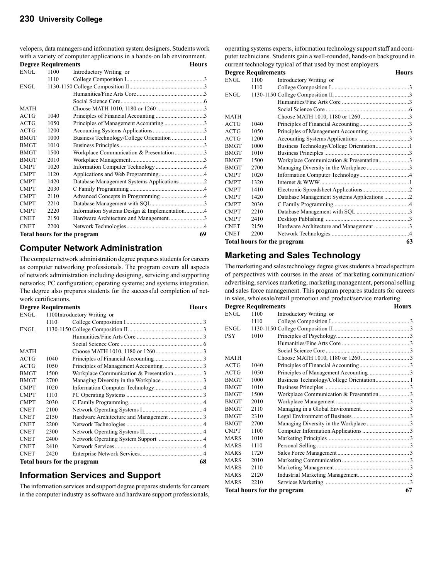velopers, data managers and information system designers. Students work with a variety of computer applications in a hands-on lab environment.

|             | <b>Degree Requirements</b> |                                              | <b>Hours</b> |
|-------------|----------------------------|----------------------------------------------|--------------|
| <b>ENGL</b> | 1100                       | Introductory Writing or                      |              |
|             | 1110                       |                                              |              |
| <b>ENGL</b> |                            |                                              |              |
|             |                            |                                              |              |
|             |                            |                                              |              |
| <b>MATH</b> |                            |                                              |              |
| <b>ACTG</b> | 1040                       |                                              |              |
| <b>ACTG</b> | 1050                       |                                              |              |
| <b>ACTG</b> | 1200                       |                                              |              |
| <b>BMGT</b> | 1000                       |                                              |              |
| <b>BMGT</b> | 1010                       |                                              |              |
| <b>BMGT</b> | 1500                       | Workplace Communication & Presentation 3     |              |
| <b>BMGT</b> | 2010                       |                                              |              |
| <b>CMPT</b> | 1020                       |                                              |              |
| <b>CMPT</b> | 1120                       |                                              |              |
| <b>CMPT</b> | 1420                       | Database Management Systems Applications2    |              |
| <b>CMPT</b> | 2030                       |                                              |              |
| <b>CMPT</b> | 2110                       |                                              |              |
| <b>CMPT</b> | 2210                       |                                              |              |
| <b>CMPT</b> | 2220                       | Information Systems Design & Implementation4 |              |
| <b>CNET</b> | 2150                       | Hardware Architecture and Management3        |              |
| <b>CNET</b> | 2200                       |                                              |              |
|             |                            | Total hours for the program                  | 69           |

#### **Computer Network Administration**

The computer network administration degree prepares students for careers as computer networking professionals. The program covers all aspects of network administration including designing, servicing and supporting networks; PC configuration; operating systems; and systems integration. The degree also prepares students for the successful completion of network certifications.

|             |                             | <b>Degree Requirements</b>  |  |  |
|-------------|-----------------------------|-----------------------------|--|--|
| ENGL        |                             | 1100Introductory Writing or |  |  |
|             | 1110                        |                             |  |  |
| ENGL        |                             |                             |  |  |
|             |                             |                             |  |  |
|             |                             |                             |  |  |
| <b>MATH</b> |                             |                             |  |  |
| ACTG        | 1040                        |                             |  |  |
| <b>ACTG</b> | 1050                        |                             |  |  |
| <b>BMGT</b> | 1500                        |                             |  |  |
| <b>BMGT</b> | 2700                        |                             |  |  |
| <b>CMPT</b> | 1020                        |                             |  |  |
| <b>CMPT</b> | 1110                        |                             |  |  |
| <b>CMPT</b> | 2030                        |                             |  |  |
| <b>CNET</b> | 2100                        |                             |  |  |
| <b>CNET</b> | 2150                        |                             |  |  |
| <b>CNET</b> | 2200                        |                             |  |  |
| <b>CNET</b> | 2300                        |                             |  |  |
| <b>CNET</b> | 2400                        |                             |  |  |
| <b>CNET</b> | 2410                        |                             |  |  |
| <b>CNET</b> | 2420                        |                             |  |  |
|             | Total hours for the program |                             |  |  |

#### **Information Services and Support**

The information services and support degree prepares students for careers in the computer industry as software and hardware support professionals,

operating systems experts, information technology support staff and computer technicians. Students gain a well-rounded, hands-on background in current technology typical of that used by most employers.

|             | <b>Degree Requirements</b> |                                            | Hours |
|-------------|----------------------------|--------------------------------------------|-------|
| <b>ENGL</b> | 1100                       | Introductory Writing or                    |       |
|             | 1110                       |                                            |       |
| ENGL        |                            |                                            |       |
|             |                            |                                            |       |
|             |                            |                                            |       |
| <b>MATH</b> |                            |                                            |       |
| <b>ACTG</b> | 1040                       |                                            |       |
| <b>ACTG</b> | 1050                       | Principles of Management Accounting3       |       |
| <b>ACTG</b> | 1200                       |                                            |       |
| <b>BMGT</b> | 1000                       |                                            |       |
| <b>BMGT</b> | 1010                       |                                            |       |
| <b>BMGT</b> | 1500                       | Workplace Communication & Presentation3    |       |
| <b>BMGT</b> | 2700                       |                                            |       |
| <b>CMPT</b> | 1020                       |                                            |       |
| <b>CMPT</b> | 1320                       |                                            |       |
| <b>CMPT</b> | 1410                       |                                            |       |
| <b>CMPT</b> | 1420                       | Database Management Systems Applications 2 |       |
| <b>CMPT</b> | 2030                       |                                            |       |
| <b>CMPT</b> | 2210                       |                                            |       |
| <b>CMPT</b> | 2410                       |                                            |       |
| <b>CNET</b> | 2150                       | Hardware Architecture and Management 3     |       |
| <b>CNET</b> | 2200                       |                                            |       |
|             |                            | Total hours for the program                | 63    |

### **Marketing and Sales Technology**

The marketing and sales technology degree gives students a broad spectrum of perspectives with courses in the areas of marketing communication/ advertising, services marketing, marketing management, personal selling and sales force management. This program prepares students for careers in sales, wholesale/retail promotion and product/service marketing.

|             | <b>Degree Requirements</b>         |                         |  |  |  |
|-------------|------------------------------------|-------------------------|--|--|--|
| ENGL        | 1100                               | Introductory Writing or |  |  |  |
|             | 1110                               |                         |  |  |  |
| ENGL        |                                    |                         |  |  |  |
| <b>PSY</b>  | 1010                               |                         |  |  |  |
|             |                                    |                         |  |  |  |
|             |                                    |                         |  |  |  |
| <b>MATH</b> |                                    |                         |  |  |  |
| <b>ACTG</b> | 1040                               |                         |  |  |  |
| <b>ACTG</b> | 1050                               |                         |  |  |  |
| <b>BMGT</b> | 1000                               |                         |  |  |  |
| <b>BMGT</b> | 1010                               |                         |  |  |  |
| <b>BMGT</b> | 1500                               |                         |  |  |  |
| <b>BMGT</b> | 2010                               |                         |  |  |  |
| <b>BMGT</b> | 2110                               |                         |  |  |  |
| <b>BMGT</b> | 2310                               |                         |  |  |  |
| <b>BMGT</b> | 2700                               |                         |  |  |  |
| <b>CMPT</b> | 1100                               |                         |  |  |  |
| <b>MARS</b> | 1010                               |                         |  |  |  |
| <b>MARS</b> | 1110                               |                         |  |  |  |
| MARS        | 1720                               |                         |  |  |  |
| <b>MARS</b> | 2010                               |                         |  |  |  |
| <b>MARS</b> | 2110                               |                         |  |  |  |
| <b>MARS</b> | 2120                               |                         |  |  |  |
| <b>MARS</b> | 2210                               |                         |  |  |  |
|             | <b>Total hours for the program</b> |                         |  |  |  |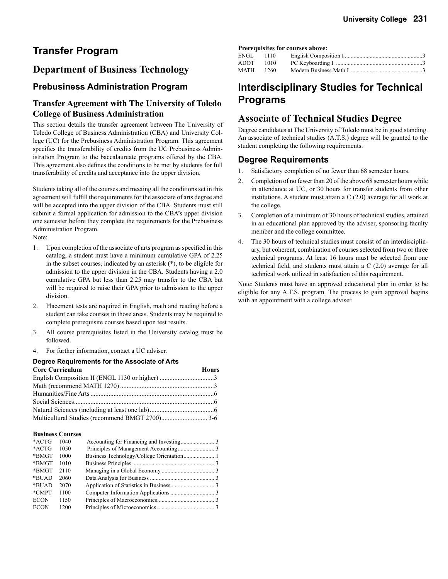# **Transfer Program**

### **Department of Business Technology**

#### **Prebusiness Administration Program**

### **Transfer Agreement with The University of Toledo College of Business Administration**

This section details the transfer agreement between The University of Toledo College of Business Administration (CBA) and University College (UC) for the Prebusiness Administration Program. This agreement specifies the transferability of credits from the UC Prebusiness Administration Program to the baccalaureate programs offered by the CBA. This agreement also defines the conditions to be met by students for full transferability of credits and acceptance into the upper division.

Students taking all of the courses and meeting all the conditions set in this agreement will fulfill the requirements for the associate of arts degree and will be accepted into the upper division of the CBA. Students must still submit a formal application for admission to the CBA's upper division one semester before they complete the requirements for the Prebusiness Administration Program.

Note:

- 1. Upon completion of the associate of arts program as specified in this catalog, a student must have a minimum cumulative GPA of 2.25 in the subset courses, indicated by an asterisk (\*), to be eligible for admission to the upper division in the CBA. Students having a 2.0 cumulative GPA but less than 2.25 may transfer to the CBA but will be required to raise their GPA prior to admission to the upper division.
- 2. Placement tests are required in English, math and reading before a student can take courses in those areas. Students may be required to complete prerequisite courses based upon test results.
- 3. All course prerequisites listed in the University catalog must be followed.
- 4. For further information, contact a UC adviser.

#### **Degree Requirements for the Associate of Arts**

| <b>Core Curriculum</b> | <b>Hours</b> |  |
|------------------------|--------------|--|
|                        |              |  |
|                        |              |  |
|                        |              |  |
|                        |              |  |
|                        |              |  |
|                        |              |  |

#### **Business Courses**

| $*ACTG$     | 1040 | Accounting for Financing and Investing3 |  |
|-------------|------|-----------------------------------------|--|
| $*ACTG$     | 1050 |                                         |  |
| *BMGT       | 1000 |                                         |  |
| *BMGT       | 1010 |                                         |  |
| *BMGT       | 2110 |                                         |  |
| *BUAD       | 2060 |                                         |  |
| *BUAD       | 2070 |                                         |  |
| *CMPT       | 1100 |                                         |  |
| <b>ECON</b> | 1150 |                                         |  |
| <b>ECON</b> | 1200 |                                         |  |
|             |      |                                         |  |

#### **Prerequisites for courses above:**

| ENGL 1110 |        |  |
|-----------|--------|--|
| ADOT 1010 |        |  |
| MATH      | - 1260 |  |

## **Interdisciplinary Studies for Technical Programs**

### **Associate of Technical Studies Degree**

Degree candidates at The University of Toledo must be in good standing. An associate of technical studies (A.T.S.) degree will be granted to the student completing the following requirements.

#### **Degree Requirements**

- 1. Satisfactory completion of no fewer than 68 semester hours.
- 2. Completion of no fewer than 20 of the above 68 semester hours while in attendance at UC, or 30 hours for transfer students from other institutions. A student must attain a C (2.0) average for all work at the college.
- 3. Completion of a minimum of 30 hours of technical studies, attained in an educational plan approved by the adviser, sponsoring faculty member and the college committee.
- 4. The 30 hours of technical studies must consist of an interdisciplinary, but coherent, combination of courses selected from two or three technical programs. At least 16 hours must be selected from one technical field, and students must attain a C (2.0) average for all technical work utilized in satisfaction of this requirement.

Note: Students must have an approved educational plan in order to be eligible for any A.T.S. program. The process to gain approval begins with an appointment with a college adviser.